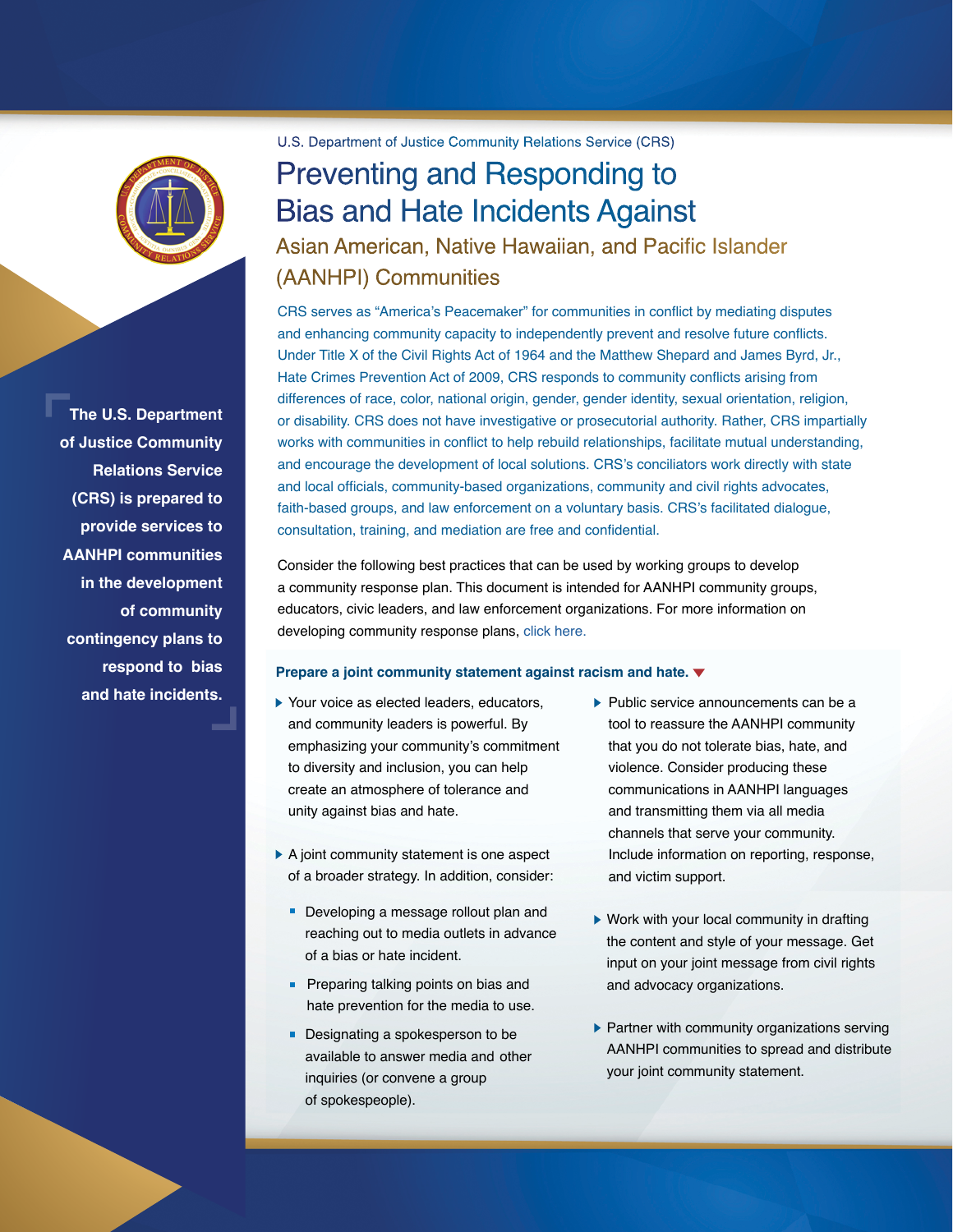

**The U.S. Department of Justice Community Relations Service (CRS) is prepared to provide services to AANHPI communities in the development of community contingency plans to respond to bias and hate incidents.**

U.S. Department of Justice Community Relations Service (CRS)

# Preventing and Responding to Bias and Hate Incidents Against

Asian American, Native Hawaiian, and Pacific Islander (AANHPI) Communities

CRS serves as "America's Peacemaker" for communities in conflict by mediating disputes and enhancing community capacity to independently prevent and resolve future conflicts. Under Title X of the Civil Rights Act of 1964 and the Matthew Shepard and James Byrd, Jr., Hate Crimes Prevention Act of 2009, CRS responds to community conflicts arising from differences of race, color, national origin, gender, gender identity, sexual orientation, religion, or disability. CRS does not have investigative or prosecutorial authority. Rather, CRS impartially works with communities in conflict to help rebuild relationships, facilitate mutual understanding, and encourage the development of local solutions. CRS's conciliators work directly with state and local officials, community-based organizations, community and civil rights advocates, faith-based groups, and law enforcement on a voluntary basis. CRS's facilitated dialogue, consultation, training, and mediation are free and confidential.

Consider the following best practices that can be used by working groups to develop a community response plan. This document is intended for AANHPI community groups, educators, civic leaders, and law enforcement organizations. For more information on developing community response plans, [click here.](https://www.niot.org/sites/default/files/v4_niot_oz_resiliencyguide_2021_0415_1.pdf)

# **Prepare a joint community statement against racism and hate.**

- ▶ Your voice as elected leaders, educators, and community leaders is powerful. By emphasizing your community's commitment to diversity and inclusion, you can help create an atmosphere of tolerance and unity against bias and hate.
- ▶ A joint community statement is one aspect of a broader strategy. In addition, consider:
	- Developing a message rollout plan and reaching out to media outlets in advance of a bias or hate incident.
	- **Preparing talking points on bias and** hate prevention for the media to use.
	- Designating a spokesperson to be available to answer media and other inquiries (or convene a group of spokespeople).
- $\blacktriangleright$  Public service announcements can be a tool to reassure the AANHPI community that you do not tolerate bias, hate, and violence. Consider producing these communications in AANHPI languages and transmitting them via all media channels that serve your community. Include information on reporting, response, and victim support.
- ▶ Work with your local community in drafting the content and style of your message. Get input on your joint message from civil rights and advocacy organizations.
- $\blacktriangleright$  Partner with community organizations serving AANHPI communities to spread and distribute your joint community statement.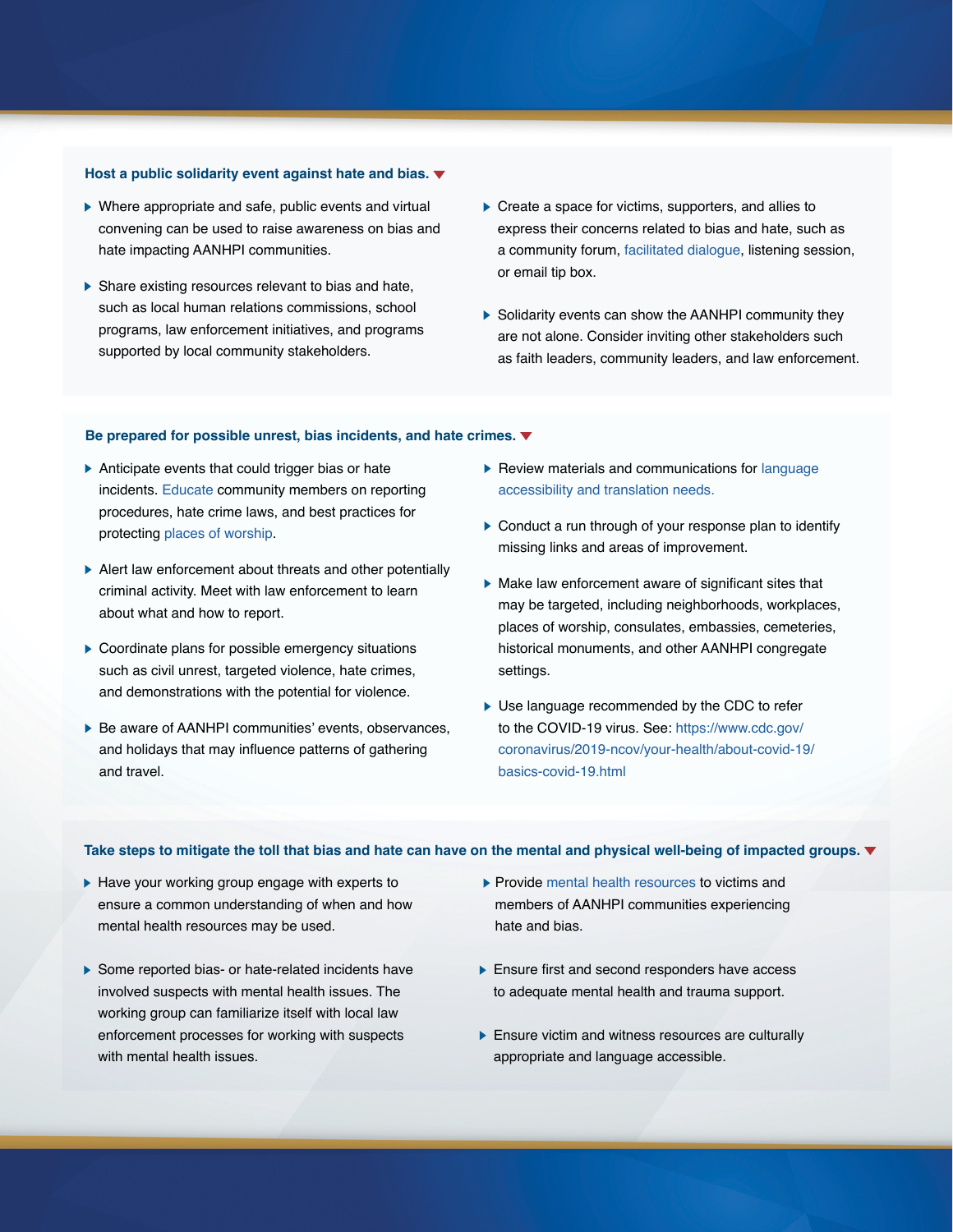### **Host a public solidarity event against hate and bias.**

- Where appropriate and safe, public events and virtual convening can be used to raise awareness on bias and hate impacting AANHPI communities.
- $\triangleright$  Share existing resources relevant to bias and hate, such as local human relations commissions, school programs, law enforcement initiatives, and programs supported by local community stakeholders.
- ▶ Create a space for victims, supporters, and allies to express their concerns related to bias and hate, such as a community forum, [facilitated dialogue,](https://www.justice.gov/crs/our-work/facilitation) listening session, or email tip box.
- Solidarity events can show the AANHPI community they are not alone. Consider inviting other stakeholders such as faith leaders, community leaders, and law enforcement.

# **Be prepared for possible unrest, bias incidents, and hate crimes.**

- Anticipate events that could trigger bias or hate incidents. [Educate](https://www.justice.gov/crs/our-work/facilitation/bias-incidents-hate-crimes) community members on reporting procedures, hate crime laws, and best practices for protecting [places of worship](https://www.justice.gov/crs/our-work/facilitation/protecting-places-of-worship).
- Alert law enforcement about threats and other potentially criminal activity. Meet with law enforcement to learn about what and how to report.
- ▶ Coordinate plans for possible emergency situations such as civil unrest, targeted violence, hate crimes, and demonstrations with the potential for violence.
- ▶ Be aware of AANHPI communities' events, observances, and holidays that may influence patterns of gathering and travel.
- $\blacktriangleright$  Review materials and communications for language [accessibility and translation needs.](https://www.lep.gov/)
- ▶ Conduct a run through of your response plan to identify missing links and areas of improvement.
- $\blacktriangleright$  Make law enforcement aware of significant sites that may be targeted, including neighborhoods, workplaces, places of worship, consulates, embassies, cemeteries, historical monuments, and other AANHPI congregate settings.
- Use language recommended by the CDC to refer to the COVID-19 virus. See: [https://www.cdc.gov/](https://www.cdc.gov/coronavirus/2019-ncov/your-health/about-covid-19/basics-covid-19.html) [coronavirus/2019-ncov/your-health/about-covid-19/](https://www.cdc.gov/coronavirus/2019-ncov/your-health/about-covid-19/basics-covid-19.html) [basics-covid-19.html](https://www.cdc.gov/coronavirus/2019-ncov/your-health/about-covid-19/basics-covid-19.html)

#### **Take steps to mitigate the toll that bias and hate can have on the mental and physical well-being of impacted groups.**

- $\blacktriangleright$  Have your working group engage with experts to ensure a common understanding of when and how mental health resources may be used.
- Some reported bias- or hate-related incidents have involved suspects with mental health issues. The working group can familiarize itself with local law enforcement processes for working with suspects with mental health issues.
- ▶ Provide [mental health resources](https://www.cdc.gov/mentalhealth/stress-coping/reduce-stigma/index.html) to victims and members of AANHPI communities experiencing hate and bias.
- **Ensure first and second responders have access** to adequate mental health and trauma support.
- **Ensure victim and witness resources are culturally** appropriate and language accessible.